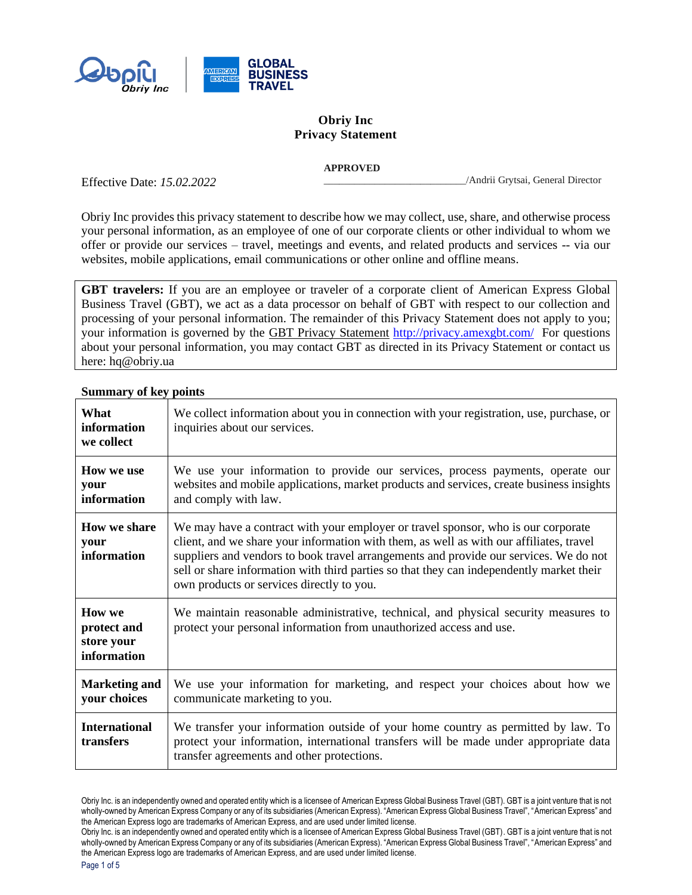

# **Obriy Inc Privacy Statement**

**APPROVED**

\_\_\_\_\_\_\_\_\_\_\_\_\_\_\_\_\_\_\_\_\_\_\_\_\_\_\_\_/Andrii Grytsai, General Director

Obriy Inc provides this privacy statement to describe how we may collect, use, share, and otherwise process your personal information, as an employee of one of our corporate clients or other individual to whom we offer or provide our services – travel, meetings and events, and related products and services -- via our websites, mobile applications, email communications or other online and offline means.

**GBT travelers:** If you are an employee or traveler of a corporate client of American Express Global Business Travel (GBT), we act as a data processor on behalf of GBT with respect to our collection and processing of your personal information. The remainder of this Privacy Statement does not apply to you; your information is governed by the GBT Privacy Statement <http://privacy.amexgbt.com/> For questions about your personal information, you may contact GBT as directed in its Privacy Statement or contact us here: hq@obriy.ua

| What<br>information<br>we collect                         | We collect information about you in connection with your registration, use, purchase, or<br>inquiries about our services.                                                                                                                                                                                                                                                                                      |
|-----------------------------------------------------------|----------------------------------------------------------------------------------------------------------------------------------------------------------------------------------------------------------------------------------------------------------------------------------------------------------------------------------------------------------------------------------------------------------------|
| How we use<br>your<br>information                         | We use your information to provide our services, process payments, operate our<br>websites and mobile applications, market products and services, create business insights<br>and comply with law.                                                                                                                                                                                                             |
| How we share<br>your<br>information                       | We may have a contract with your employer or travel sponsor, who is our corporate<br>client, and we share your information with them, as well as with our affiliates, travel<br>suppliers and vendors to book travel arrangements and provide our services. We do not<br>sell or share information with third parties so that they can independently market their<br>own products or services directly to you. |
| <b>How we</b><br>protect and<br>store your<br>information | We maintain reasonable administrative, technical, and physical security measures to<br>protect your personal information from unauthorized access and use.                                                                                                                                                                                                                                                     |
| <b>Marketing and</b><br>your choices                      | We use your information for marketing, and respect your choices about how we<br>communicate marketing to you.                                                                                                                                                                                                                                                                                                  |
| <b>International</b><br>transfers                         | We transfer your information outside of your home country as permitted by law. To<br>protect your information, international transfers will be made under appropriate data<br>transfer agreements and other protections.                                                                                                                                                                                       |

## **Summary of key points**

Effective Date: *15.02.2022*

Obriy Inc. is an independently owned and operated entity which is a licensee of American Express Global Business Travel (GBT). GBT is a joint venture that is not wholly-owned by American Express Company or any of its subsidiaries (American Express). "American Express Global Business Travel", "American Express" and the American Express logo are trademarks of American Express, and are used under limited license.

Obriy Inc. is an independently owned and operated entity which is a licensee of American Express Global Business Travel (GBT). GBT is a joint venture that is not wholly-owned by American Express Company or any of its subsidiaries (American Express). "American Express Global Business Travel", "American Express" and the American Express logo are trademarks of American Express, and are used under limited license.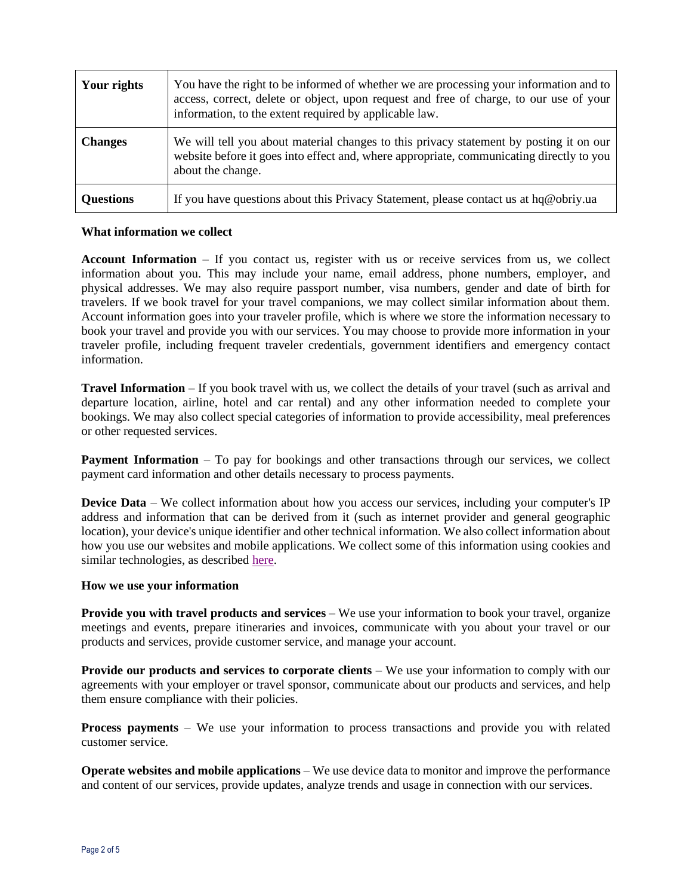| Your rights      | You have the right to be informed of whether we are processing your information and to<br>access, correct, delete or object, upon request and free of charge, to our use of your<br>information, to the extent required by applicable law. |
|------------------|--------------------------------------------------------------------------------------------------------------------------------------------------------------------------------------------------------------------------------------------|
| <b>Changes</b>   | We will tell you about material changes to this privacy statement by posting it on our<br>website before it goes into effect and, where appropriate, communicating directly to you<br>about the change.                                    |
| <b>Questions</b> | If you have questions about this Privacy Statement, please contact us at $hq@obriy.ua$                                                                                                                                                     |

#### **What information we collect**

**Account Information** – If you contact us, register with us or receive services from us, we collect information about you. This may include your name, email address, phone numbers, employer, and physical addresses. We may also require passport number, visa numbers, gender and date of birth for travelers. If we book travel for your travel companions, we may collect similar information about them. Account information goes into your traveler profile, which is where we store the information necessary to book your travel and provide you with our services. You may choose to provide more information in your traveler profile, including frequent traveler credentials, government identifiers and emergency contact information.

**Travel Information** – If you book travel with us, we collect the details of your travel (such as arrival and departure location, airline, hotel and car rental) and any other information needed to complete your bookings. We may also collect special categories of information to provide accessibility, meal preferences or other requested services.

**Payment Information** – To pay for bookings and other transactions through our services, we collect payment card information and other details necessary to process payments.

**Device Data** – We collect information about how you access our services, including your computer's IP address and information that can be derived from it (such as internet provider and general geographic location), your device's unique identifier and other technical information. We also collect information about how you use our websites and mobile applications. We collect some of this information using cookies and similar technologies, as described [here.](#page-3-0)

#### **How we use your information**

**Provide you with travel products and services** – We use your information to book your travel, organize meetings and events, prepare itineraries and invoices, communicate with you about your travel or our products and services, provide customer service, and manage your account.

**Provide our products and services to corporate clients – We use your information to comply with our** agreements with your employer or travel sponsor, communicate about our products and services, and help them ensure compliance with their policies.

**Process payments** – We use your information to process transactions and provide you with related customer service.

**Operate websites and mobile applications** – We use device data to monitor and improve the performance and content of our services, provide updates, analyze trends and usage in connection with our services.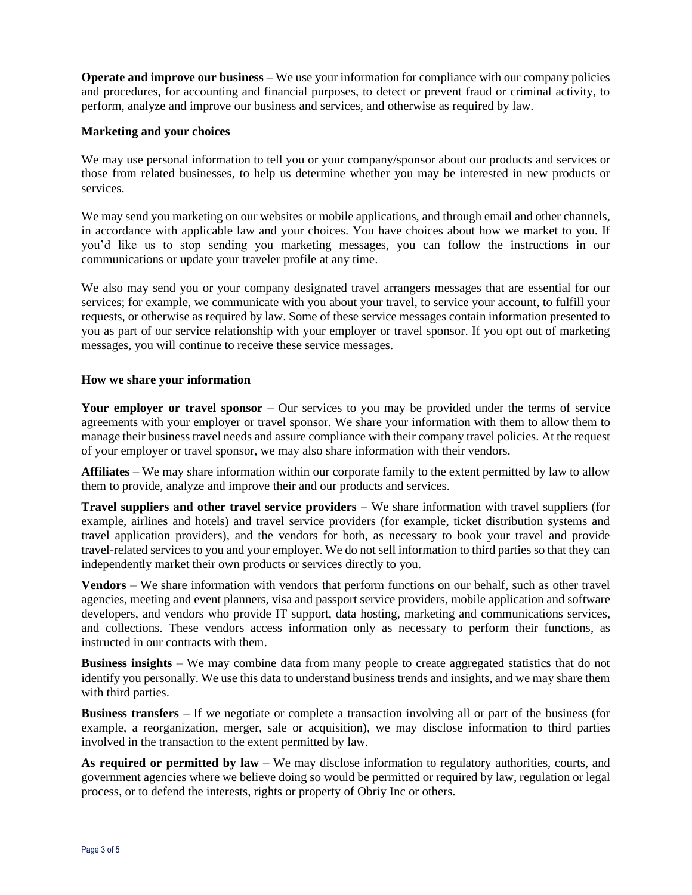**Operate and improve our business** – We use your information for compliance with our company policies and procedures, for accounting and financial purposes, to detect or prevent fraud or criminal activity, to perform, analyze and improve our business and services, and otherwise as required by law.

#### **Marketing and your choices**

We may use personal information to tell you or your company/sponsor about our products and services or those from related businesses, to help us determine whether you may be interested in new products or services.

We may send you marketing on our websites or mobile applications, and through email and other channels, in accordance with applicable law and your choices. You have choices about how we market to you. If you'd like us to stop sending you marketing messages, you can follow the instructions in our communications or update your traveler profile at any time.

We also may send you or your company designated travel arrangers messages that are essential for our services; for example, we communicate with you about your travel, to service your account, to fulfill your requests, or otherwise as required by law. Some of these service messages contain information presented to you as part of our service relationship with your employer or travel sponsor. If you opt out of marketing messages, you will continue to receive these service messages.

#### **How we share your information**

**Your employer or travel sponsor** – Our services to you may be provided under the terms of service agreements with your employer or travel sponsor. We share your information with them to allow them to manage their business travel needs and assure compliance with their company travel policies. At the request of your employer or travel sponsor, we may also share information with their vendors.

**Affiliates** – We may share information within our corporate family to the extent permitted by law to allow them to provide, analyze and improve their and our products and services.

**Travel suppliers and other travel service providers –** We share information with travel suppliers (for example, airlines and hotels) and travel service providers (for example, ticket distribution systems and travel application providers), and the vendors for both, as necessary to book your travel and provide travel-related services to you and your employer. We do not sell information to third parties so that they can independently market their own products or services directly to you.

**Vendors** – We share information with vendors that perform functions on our behalf, such as other travel agencies, meeting and event planners, visa and passport service providers, mobile application and software developers, and vendors who provide IT support, data hosting, marketing and communications services, and collections. These vendors access information only as necessary to perform their functions, as instructed in our contracts with them.

**Business insights** – We may combine data from many people to create aggregated statistics that do not identify you personally. We use this data to understand business trends and insights, and we may share them with third parties.

**Business transfers** – If we negotiate or complete a transaction involving all or part of the business (for example, a reorganization, merger, sale or acquisition), we may disclose information to third parties involved in the transaction to the extent permitted by law.

**As required or permitted by law** – We may disclose information to regulatory authorities, courts, and government agencies where we believe doing so would be permitted or required by law, regulation or legal process, or to defend the interests, rights or property of Obriy Inc or others.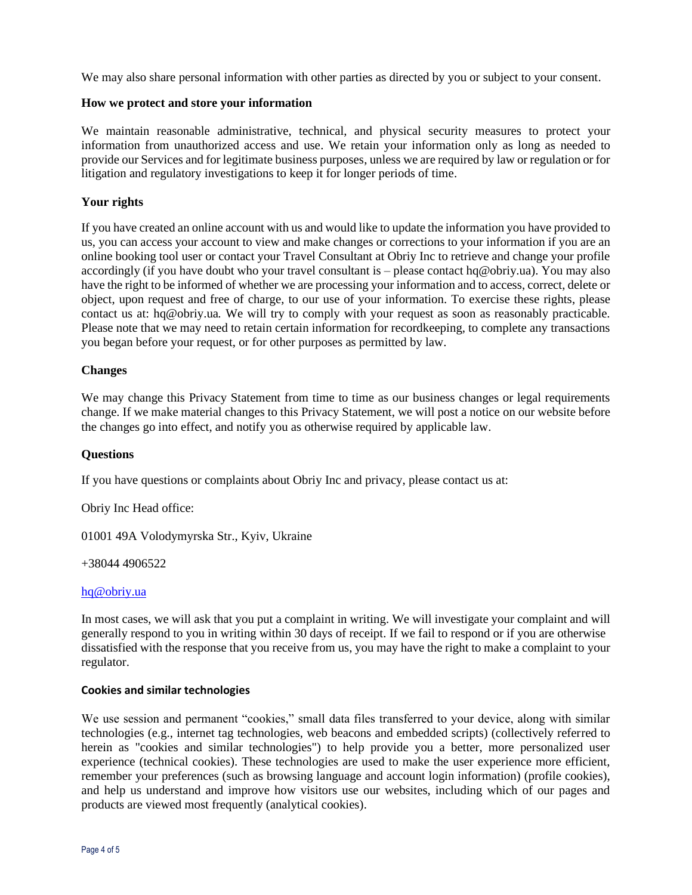We may also share personal information with other parties as directed by you or subject to your consent.

## **How we protect and store your information**

We maintain reasonable administrative, technical, and physical security measures to protect your information from unauthorized access and use. We retain your information only as long as needed to provide our Services and for legitimate business purposes, unless we are required by law or regulation or for litigation and regulatory investigations to keep it for longer periods of time.

# **Your rights**

If you have created an online account with us and would like to update the information you have provided to us, you can access your account to view and make changes or corrections to your information if you are an online booking tool user or contact your Travel Consultant at Obriy Inc to retrieve and change your profile accordingly (if you have doubt who your travel consultant is – please contact hq@obriy.ua). You may also have the right to be informed of whether we are processing your information and to access, correct, delete or object, upon request and free of charge, to our use of your information. To exercise these rights, please contact us at: hq@obriy.ua*.* We will try to comply with your request as soon as reasonably practicable*.* Please note that we may need to retain certain information for recordkeeping, to complete any transactions you began before your request, or for other purposes as permitted by law.

## **Changes**

We may change this Privacy Statement from time to time as our business changes or legal requirements change. If we make material changes to this Privacy Statement, we will post a notice on our website before the changes go into effect, and notify you as otherwise required by applicable law.

## **Questions**

If you have questions or complaints about Obriy Inc and privacy, please contact us at:

Obriy Inc Head office:

01001 49A Volodymyrska Str., Kyiv, Ukraine

+38044 4906522

#### [hq@obriy.ua](mailto:hq@obriy.ua)

In most cases, we will ask that you put a complaint in writing. We will investigate your complaint and will generally respond to you in writing within 30 days of receipt. If we fail to respond or if you are otherwise dissatisfied with the response that you receive from us, you may have the right to make a complaint to your regulator.

## <span id="page-3-0"></span>**Cookies and similar technologies**

We use session and permanent "cookies," small data files transferred to your device, along with similar technologies (e.g., internet tag technologies, web beacons and embedded scripts) (collectively referred to herein as "cookies and similar technologies") to help provide you a better, more personalized user experience (technical cookies). These technologies are used to make the user experience more efficient, remember your preferences (such as browsing language and account login information) (profile cookies), and help us understand and improve how visitors use our websites, including which of our pages and products are viewed most frequently (analytical cookies).